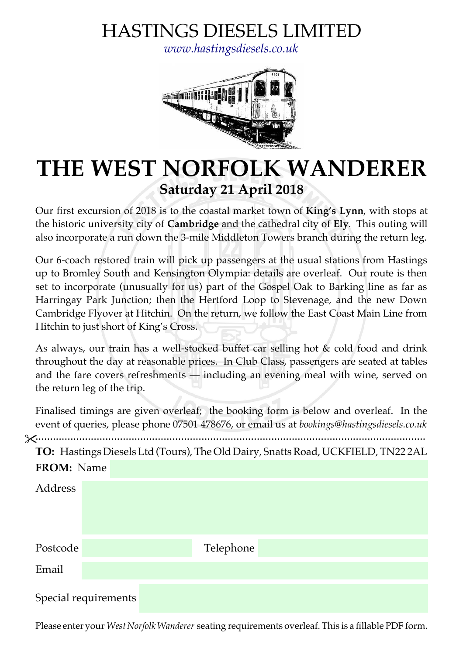# HASTINGS DIESELS LIMITED

*[www.hastingsdiesels.co.uk](http://www.hastingsdiesels.co.uk/)*



# **THE WEST NORFOLK WANDERER Saturday 21 April 2018**

Our first excursion of 2018 is to the coastal market town of **King's Lynn**, with stops at the historic university city of **Cambridge** and the cathedral city of **Ely**. This outing will also incorporate a run down the 3-mile Middleton Towers branch during the return leg.

Our 6-coach restored train will pick up passengers at the usual stations from Hastings up to Bromley South and Kensington Olympia: details are overleaf. Our route is then set to incorporate (unusually for us) part of the Gospel Oak to Barking line as far as Harringay Park Junction; then the Hertford Loop to Stevenage, and the new Down Cambridge Flyover at Hitchin. On the return, we follow the East Coast Main Line from Hitchin to just short of King's Cross.

As always, our train has a well-stocked buffet car selling hot & cold food and drink throughout the day at reasonable prices. In Club Class, passengers are seated at tables and the fare covers refreshments — including an evening meal with wine, served on the return leg of the trip.

Finalised timings are given overleaf; the booking form is below and overleaf. In the event of queries, please phone 07501 478676, or email us at *bookings@hastingsdiesels.co.uk*



Please enter your *West Norfolk Wanderer* seating requirements overleaf. This is a fllable PDF form.